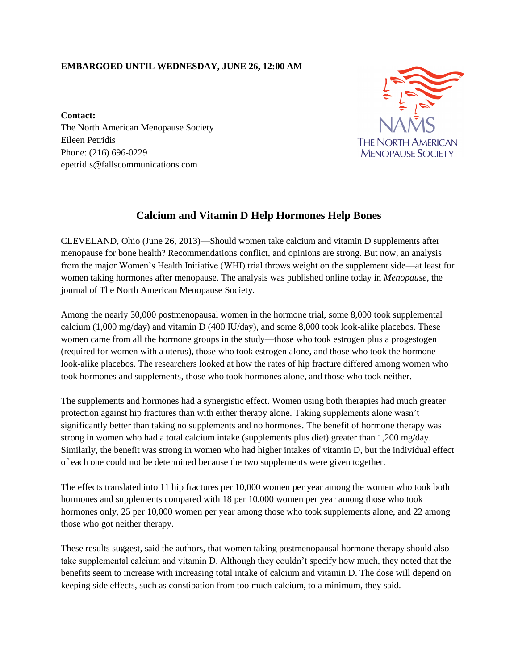## **EMBARGOED UNTIL WEDNESDAY, JUNE 26, 12:00 AM**



**Contact:** The North American Menopause Society Eileen Petridis Phone: (216) 696-0229 epetridis@fallscommunications.com

## **Calcium and Vitamin D Help Hormones Help Bones**

CLEVELAND, Ohio (June 26, 2013)—Should women take calcium and vitamin D supplements after menopause for bone health? Recommendations conflict, and opinions are strong. But now, an analysis from the major Women's Health Initiative (WHI) trial throws weight on the supplement side—at least for women taking hormones after menopause. The analysis was published online today in *Menopause*, the journal of The North American Menopause Society.

Among the nearly 30,000 postmenopausal women in the hormone trial, some 8,000 took supplemental calcium  $(1,000 \text{ mg/day})$  and vitamin D  $(400 \text{ IU/day})$ , and some 8,000 took look-alike placebos. These women came from all the hormone groups in the study—those who took estrogen plus a progestogen (required for women with a uterus), those who took estrogen alone, and those who took the hormone look-alike placebos. The researchers looked at how the rates of hip fracture differed among women who took hormones and supplements, those who took hormones alone, and those who took neither.

The supplements and hormones had a synergistic effect. Women using both therapies had much greater protection against hip fractures than with either therapy alone. Taking supplements alone wasn't significantly better than taking no supplements and no hormones. The benefit of hormone therapy was strong in women who had a total calcium intake (supplements plus diet) greater than 1,200 mg/day. Similarly, the benefit was strong in women who had higher intakes of vitamin D, but the individual effect of each one could not be determined because the two supplements were given together.

The effects translated into 11 hip fractures per 10,000 women per year among the women who took both hormones and supplements compared with 18 per 10,000 women per year among those who took hormones only, 25 per 10,000 women per year among those who took supplements alone, and 22 among those who got neither therapy.

These results suggest, said the authors, that women taking postmenopausal hormone therapy should also take supplemental calcium and vitamin D. Although they couldn't specify how much, they noted that the benefits seem to increase with increasing total intake of calcium and vitamin D. The dose will depend on keeping side effects, such as constipation from too much calcium, to a minimum, they said.